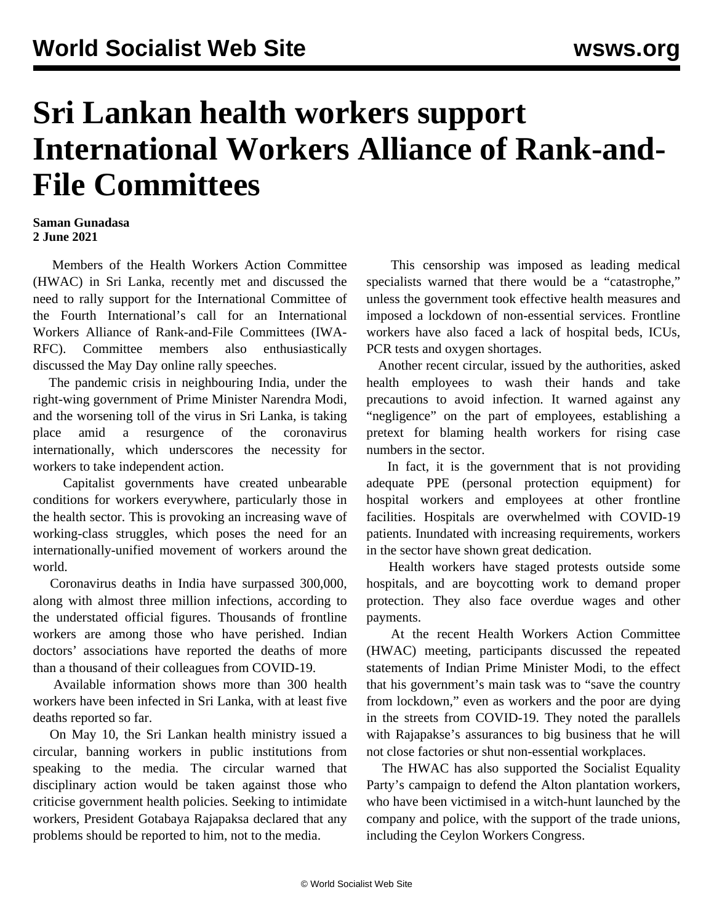# **Sri Lankan health workers support International Workers Alliance of Rank-and-File Committees**

#### **Saman Gunadasa 2 June 2021**

 Members of the Health Workers Action Committee (HWAC) in Sri Lanka, recently met and discussed the need to rally support for the International Committee of the Fourth International's [call](/en/articles/2021/04/24/pers-a24.html) for an International Workers Alliance of Rank-and-File Committees (IWA-RFC). Committee members also enthusiastically discussed the May Day online rally speeches.

 The pandemic crisis in neighbouring India, under the right-wing government of Prime Minister Narendra Modi, and the worsening toll of the virus in Sri Lanka, is taking place amid a resurgence of the coronavirus internationally, which underscores the necessity for workers to take independent action.

 Capitalist governments have created unbearable conditions for workers everywhere, particularly those in the health sector. This is provoking an increasing wave of working-class struggles, which poses the need for an internationally-unified movement of workers around the world.

 Coronavirus deaths in India have surpassed 300,000, along with almost three million infections, according to the understated official figures. Thousands of frontline workers are among those who have perished. Indian doctors' associations have reported the deaths of more than a thousand of their colleagues from COVID-19.

 Available information shows more than 300 health workers have been infected in Sri Lanka, with at least five deaths reported so far.

 On May 10, the Sri Lankan health ministry issued a circular, banning workers in public institutions from speaking to the media. The circular warned that disciplinary action would be taken against those who criticise government health policies. Seeking to intimidate workers, President Gotabaya Rajapaksa declared that any problems should be reported to him, not to the media.

 This censorship was imposed as leading medical specialists warned that there would be a "catastrophe," unless the government took effective health measures and imposed a lockdown of non-essential services. Frontline workers have also faced a lack of hospital beds, ICUs, PCR tests and oxygen shortages.

 Another recent circular, issued by the authorities, asked health employees to wash their hands and take precautions to avoid infection. It warned against any "negligence" on the part of employees, establishing a pretext for blaming health workers for rising case numbers in the sector.

 In fact, it is the government that is not providing adequate PPE (personal protection equipment) for hospital workers and employees at other frontline facilities. Hospitals are overwhelmed with COVID-19 patients. Inundated with increasing requirements, workers in the sector have shown great dedication.

 Health workers have staged protests outside some hospitals, and are boycotting work to demand proper protection. They also face overdue wages and other payments.

 At the recent Health Workers Action Committee (HWAC) meeting, participants discussed the repeated statements of Indian Prime Minister Modi, to the effect that his government's main task was to "save the country from lockdown," even as workers and the poor are dying in the streets from COVID-19. They noted the parallels with Rajapakse's assurances to big business that he will not close factories or shut non-essential workplaces.

 The HWAC has also supported the Socialist Equality Party's campaign to defend the Alton plantation workers, who have been victimised in a witch-hunt launched by the company and police, with the support of the trade unions, including the Ceylon Workers Congress.